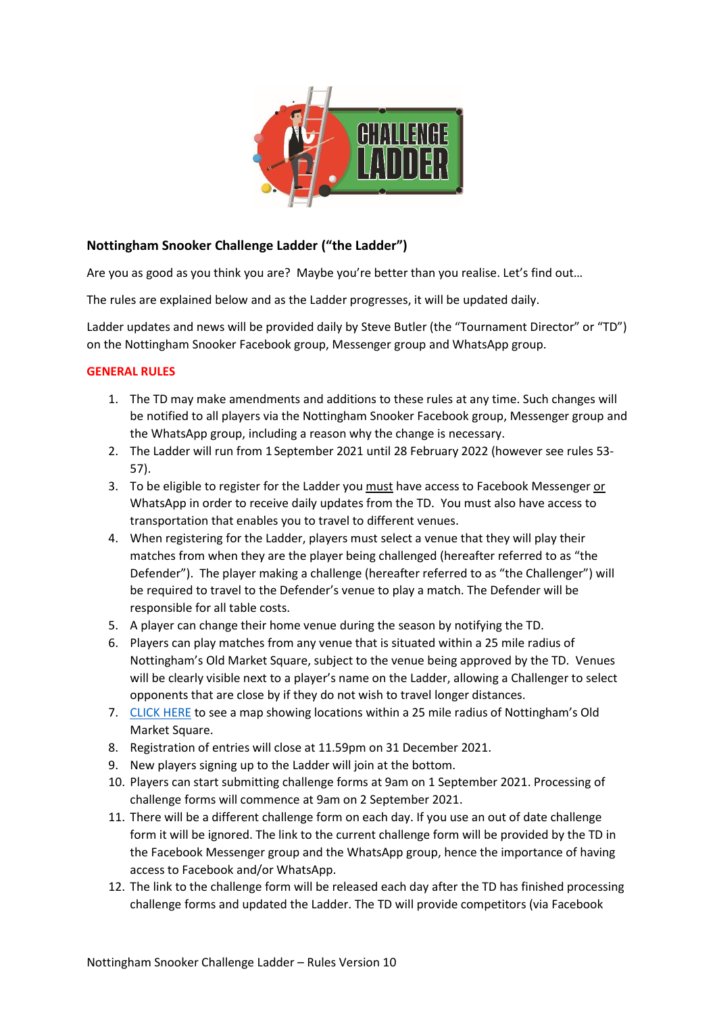

# **Nottingham Snooker Challenge Ladder ("the Ladder")**

Are you as good as you think you are? Maybe you're better than you realise. Let's find out...

The rules are explained below and as the Ladder progresses, it will be updated daily.

Ladder updates and news will be provided daily by Steve Butler (the "Tournament Director" or "TD") on the Nottingham Snooker Facebook group, Messenger group and WhatsApp group.

## **GENERAL RULES**

- 1. The TD may make amendments and additions to these rules at any time. Such changes will be notified to all players via the Nottingham Snooker Facebook group, Messenger group and the WhatsApp group, including a reason why the change is necessary.
- 2. The Ladder will run from 1 September 2021 until 28 February 2022 (however see rules 53- 57).
- 3. To be eligible to register for the Ladder you must have access to Facebook Messenger or WhatsApp in order to receive daily updates from the TD. You must also have access to transportation that enables you to travel to different venues.
- 4. When registering for the Ladder, players must select a venue that they will play their matches from when they are the player being challenged (hereafter referred to as "the Defender"). The player making a challenge (hereafter referred to as "the Challenger") will be required to travel to the Defender's venue to play a match. The Defender will be responsible for all table costs.
- 5. A player can change their home venue during the season by notifying the TD.
- 6. Players can play matches from any venue that is situated within a 25 mile radius of Nottingham's Old Market Square, subject to the venue being approved by the TD. Venues will be clearly visible next to a player's name on the Ladder, allowing a Challenger to select opponents that are close by if they do not wish to travel longer distances.
- 7. [CLICK HERE](https://www.mapdevelopers.com/draw-circle-tool.php?circles=%5B%5B40233.5%2C52.9533566%2C-1.1499443%2C%22%23AAAAAA%22%2C%22%23000000%22%2C0.4%5D%5D) to see a map showing locations within a 25 mile radius of Nottingham's Old Market Square.
- 8. Registration of entries will close at 11.59pm on 31 December 2021.
- 9. New players signing up to the Ladder will join at the bottom.
- 10. Players can start submitting challenge forms at 9am on 1 September 2021. Processing of challenge forms will commence at 9am on 2 September 2021.
- 11. There will be a different challenge form on each day. If you use an out of date challenge form it will be ignored. The link to the current challenge form will be provided by the TD in the Facebook Messenger group and the WhatsApp group, hence the importance of having access to Facebook and/or WhatsApp.
- 12. The link to the challenge form will be released each day after the TD has finished processing challenge forms and updated the Ladder. The TD will provide competitors (via Facebook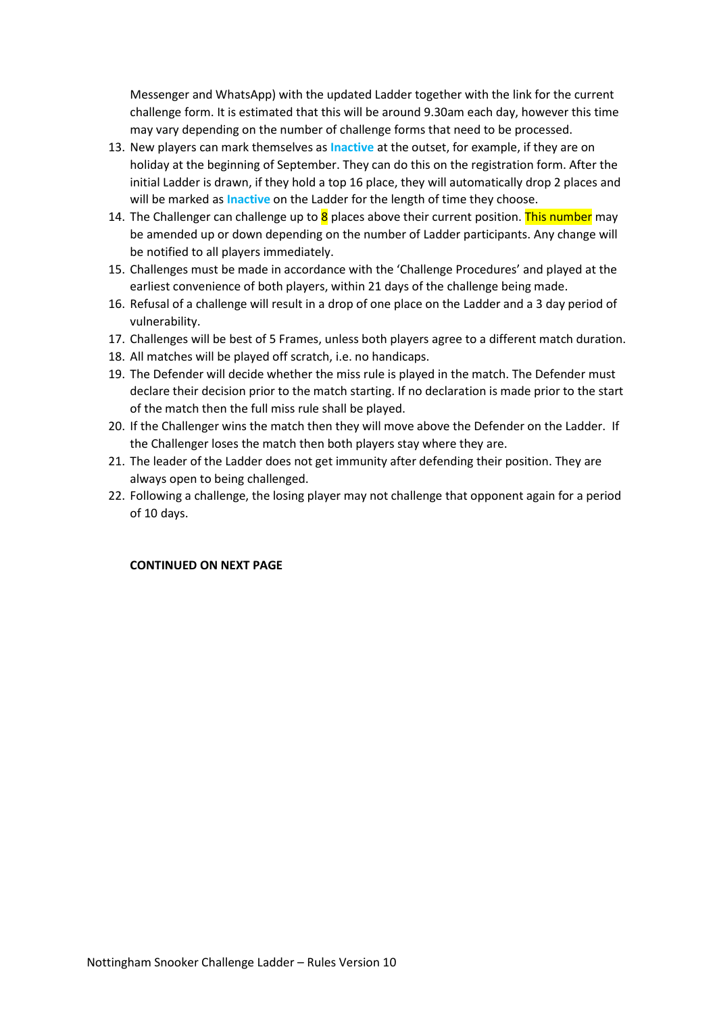Messenger and WhatsApp) with the updated Ladder together with the link for the current challenge form. It is estimated that this will be around 9.30am each day, however this time may vary depending on the number of challenge forms that need to be processed.

- 13. New players can mark themselves as **Inactive** at the outset, for example, if they are on holiday at the beginning of September. They can do this on the registration form. After the initial Ladder is drawn, if they hold a top 16 place, they will automatically drop 2 places and will be marked as **Inactive** on the Ladder for the length of time they choose.
- 14. The Challenger can challenge up to  $8$  places above their current position. This number may be amended up or down depending on the number of Ladder participants. Any change will be notified to all players immediately.
- 15. Challenges must be made in accordance with the 'Challenge Procedures' and played at the earliest convenience of both players, within 21 days of the challenge being made.
- 16. Refusal of a challenge will result in a drop of one place on the Ladder and a 3 day period of vulnerability.
- 17. Challenges will be best of 5 Frames, unless both players agree to a different match duration.
- 18. All matches will be played off scratch, i.e. no handicaps.
- 19. The Defender will decide whether the miss rule is played in the match. The Defender must declare their decision prior to the match starting. If no declaration is made prior to the start of the match then the full miss rule shall be played.
- 20. If the Challenger wins the match then they will move above the Defender on the Ladder. If the Challenger loses the match then both players stay where they are.
- 21. The leader of the Ladder does not get immunity after defending their position. They are always open to being challenged.
- 22. Following a challenge, the losing player may not challenge that opponent again for a period of 10 days.

### **CONTINUED ON NEXT PAGE**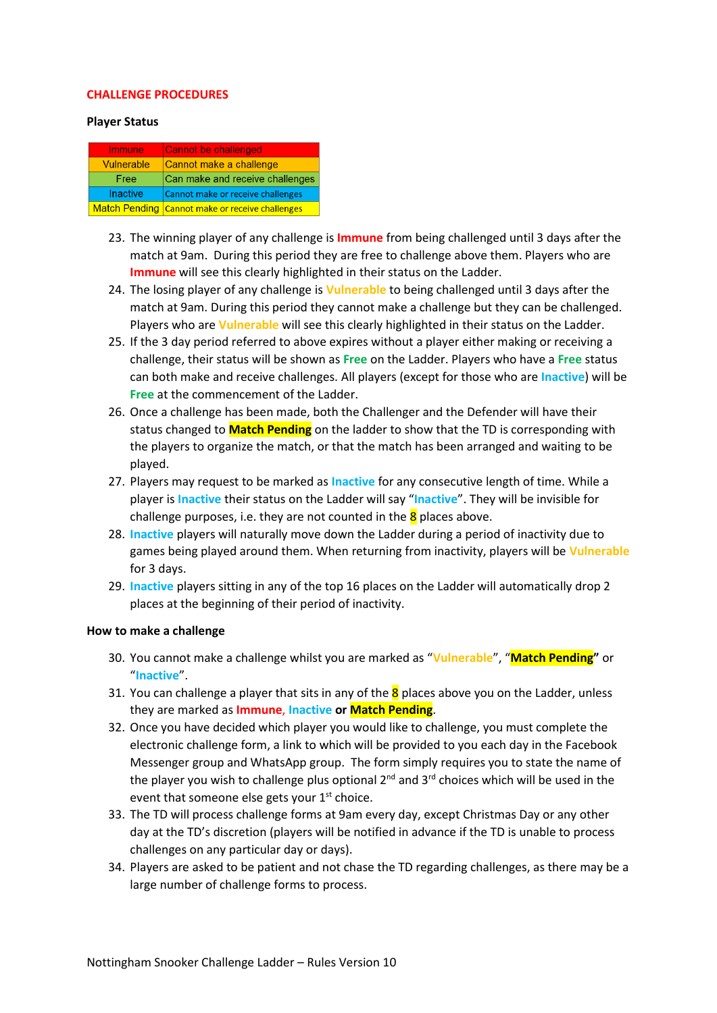#### **CHALLENGE PROCEDURES**

#### **Player Status**

| Immune            | <b>Cannot be challenged</b>                     |
|-------------------|-------------------------------------------------|
| <b>Vulnerable</b> | Cannot make a challenge                         |
| Free              | Can make and receive challenges                 |
| <b>Inactive</b>   | Cannot make or receive challenges               |
|                   | Match Pending Cannot make or receive challenges |

- 23. The winning player of any challenge is **Immune** from being challenged until 3 days after the match at 9am. During this period they are free to challenge above them. Players who are **Immune** will see this clearly highlighted in their status on the Ladder.
- 24. The losing player of any challenge is **Vulnerable** to being challenged until 3 days after the match at 9am. During this period they cannot make a challenge but they can be challenged. Players who are **Vulnerable** will see this clearly highlighted in their status on the Ladder.
- 25. If the 3 day period referred to above expires without a player either making or receiving a challenge, their status will be shown as **Free** on the Ladder. Players who have a **Free** status can both make and receive challenges. All players (except for those who are **Inactive**) will be **Free** at the commencement of the Ladder.
- 26. Once a challenge has been made, both the Challenger and the Defender will have their status changed to **Match Pending** on the ladder to show that the TD is corresponding with the players to organize the match, or that the match has been arranged and waiting to be played.
- 27. Players may request to be marked as **Inactive** for any consecutive length of time. While a player is **Inactive** their status on the Ladder will say "**Inactive**". They will be invisible for challenge purposes, i.e. they are not counted in the  $8$  places above.
- 28. **Inactive** players will naturally move down the Ladder during a period of inactivity due to games being played around them. When returning from inactivity, players will be **Vulnerable** for 3 days.
- 29. **Inactive** players sitting in any of the top 16 places on the Ladder will automatically drop 2 places at the beginning of their period of inactivity.

### **How to make a challenge**

- 30. You cannot make a challenge whilst you are marked as "**Vulnerable**", "**Match Pending"** or "**Inactive**".
- 31. You can challenge a player that sits in any of the  $8$  places above you on the Ladder, unless they are marked as **Immune**, **Inactive or Match Pending**.
- 32. Once you have decided which player you would like to challenge, you must complete the electronic challenge form, a link to which will be provided to you each day in the Facebook Messenger group and WhatsApp group. The form simply requires you to state the name of the player you wish to challenge plus optional  $2^{nd}$  and  $3^{rd}$  choices which will be used in the event that someone else gets your  $1<sup>st</sup>$  choice.
- 33. The TD will process challenge forms at 9am every day, except Christmas Day or any other day at the TD's discretion (players will be notified in advance if the TD is unable to process challenges on any particular day or days).
- 34. Players are asked to be patient and not chase the TD regarding challenges, as there may be a large number of challenge forms to process.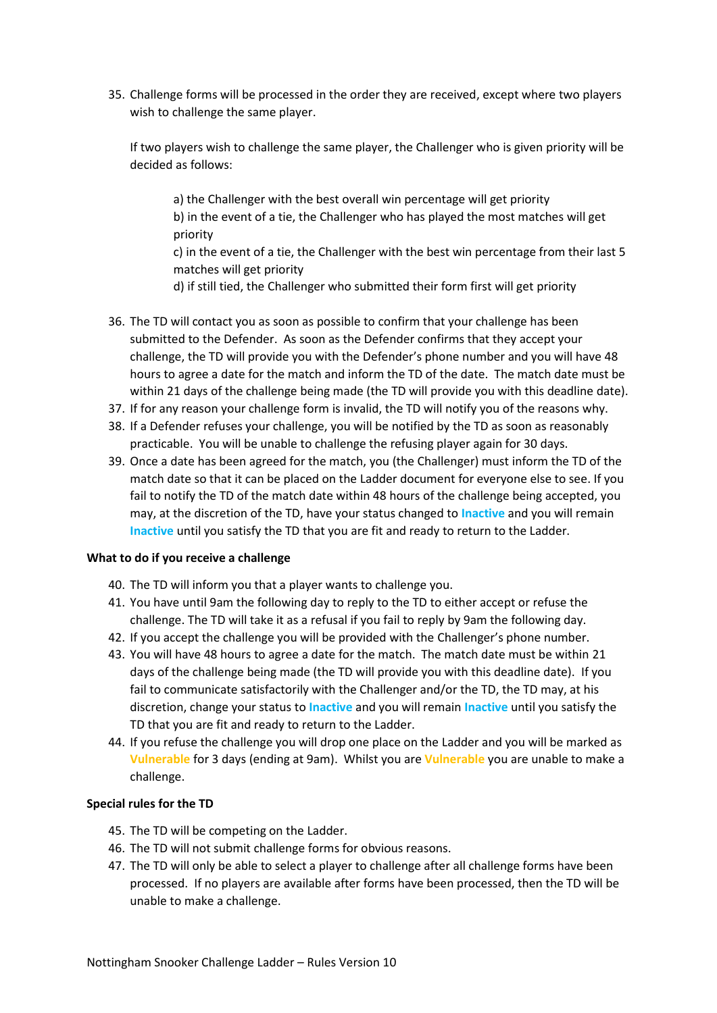35. Challenge forms will be processed in the order they are received, except where two players wish to challenge the same player.

If two players wish to challenge the same player, the Challenger who is given priority will be decided as follows:

a) the Challenger with the best overall win percentage will get priority b) in the event of a tie, the Challenger who has played the most matches will get priority

c) in the event of a tie, the Challenger with the best win percentage from their last 5 matches will get priority

d) if still tied, the Challenger who submitted their form first will get priority

- 36. The TD will contact you as soon as possible to confirm that your challenge has been submitted to the Defender. As soon as the Defender confirms that they accept your challenge, the TD will provide you with the Defender's phone number and you will have 48 hours to agree a date for the match and inform the TD of the date. The match date must be within 21 days of the challenge being made (the TD will provide you with this deadline date).
- 37. If for any reason your challenge form is invalid, the TD will notify you of the reasons why.
- 38. If a Defender refuses your challenge, you will be notified by the TD as soon as reasonably practicable. You will be unable to challenge the refusing player again for 30 days.
- 39. Once a date has been agreed for the match, you (the Challenger) must inform the TD of the match date so that it can be placed on the Ladder document for everyone else to see. If you fail to notify the TD of the match date within 48 hours of the challenge being accepted, you may, at the discretion of the TD, have your status changed to **Inactive** and you will remain **Inactive** until you satisfy the TD that you are fit and ready to return to the Ladder.

### **What to do if you receive a challenge**

- 40. The TD will inform you that a player wants to challenge you.
- 41. You have until 9am the following day to reply to the TD to either accept or refuse the challenge. The TD will take it as a refusal if you fail to reply by 9am the following day.
- 42. If you accept the challenge you will be provided with the Challenger's phone number.
- 43. You will have 48 hours to agree a date for the match. The match date must be within 21 days of the challenge being made (the TD will provide you with this deadline date). If you fail to communicate satisfactorily with the Challenger and/or the TD, the TD may, at his discretion, change your status to **Inactive** and you will remain **Inactive** until you satisfy the TD that you are fit and ready to return to the Ladder.
- 44. If you refuse the challenge you will drop one place on the Ladder and you will be marked as **Vulnerable** for 3 days (ending at 9am). Whilst you are **Vulnerable** you are unable to make a challenge.

#### **Special rules for the TD**

- 45. The TD will be competing on the Ladder.
- 46. The TD will not submit challenge forms for obvious reasons.
- 47. The TD will only be able to select a player to challenge after all challenge forms have been processed. If no players are available after forms have been processed, then the TD will be unable to make a challenge.